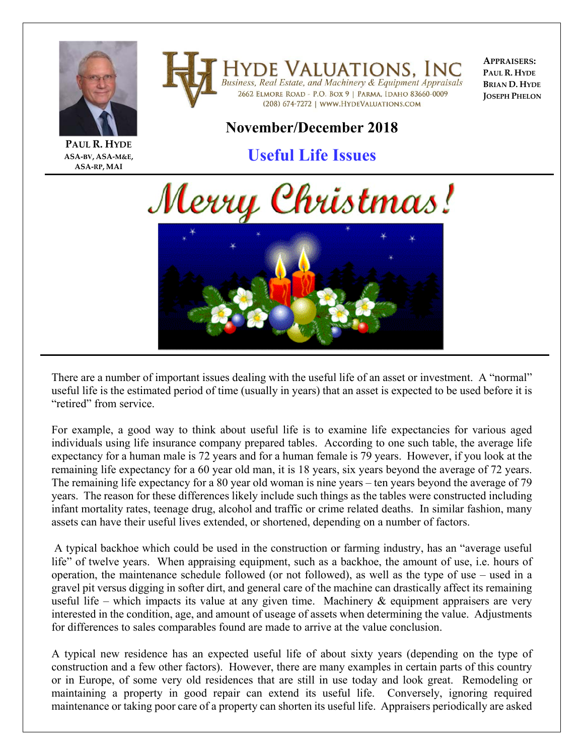

**ASA‐BV, ASA‐M&E, ASA‐RP, MAI**

**HYDE VALUATIONS, INC**<br>Business, Real Estate, and Machinery & Equipment Appraisals 2662 ELMORE ROAD - P.O. BOX 9 | PARMA, IDAHO 83660-0009 (208) 674-7272 | WWW.HYDEVALUATIONS.COM

**APPRAISERS: PAUL R. HYDE BRIAN D. HYDE JOSEPH PHELON**

## **November/December 2018**

## **Useful Life Issues**





There are a number of important issues dealing with the useful life of an asset or investment. A "normal" useful life is the estimated period of time (usually in years) that an asset is expected to be used before it is "retired" from service.

For example, a good way to think about useful life is to examine life expectancies for various aged individuals using life insurance company prepared tables. According to one such table, the average life expectancy for a human male is 72 years and for a human female is 79 years. However, if you look at the remaining life expectancy for a 60 year old man, it is 18 years, six years beyond the average of 72 years. The remaining life expectancy for a 80 year old woman is nine years – ten years beyond the average of 79 years. The reason for these differences likely include such things as the tables were constructed including infant mortality rates, teenage drug, alcohol and traffic or crime related deaths. In similar fashion, many assets can have their useful lives extended, or shortened, depending on a number of factors.

 A typical backhoe which could be used in the construction or farming industry, has an "average useful life" of twelve years. When appraising equipment, such as a backhoe, the amount of use, i.e. hours of operation, the maintenance schedule followed (or not followed), as well as the type of use – used in a gravel pit versus digging in softer dirt, and general care of the machine can drastically affect its remaining useful life – which impacts its value at any given time. Machinery  $\&$  equipment appraisers are very interested in the condition, age, and amount of useage of assets when determining the value. Adjustments for differences to sales comparables found are made to arrive at the value conclusion.

A typical new residence has an expected useful life of about sixty years (depending on the type of construction and a few other factors). However, there are many examples in certain parts of this country or in Europe, of some very old residences that are still in use today and look great. Remodeling or maintaining a property in good repair can extend its useful life. Conversely, ignoring required maintenance or taking poor care of a property can shorten its useful life. Appraisers periodically are asked